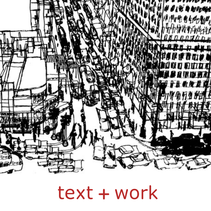

text + work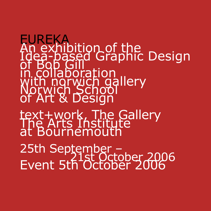# EUREKA<br>An exhibition of the<br>Idea-based Graphic Design<br>of Bob Gill<br>in collaboration<br>with norwich gallery<br>Norwich School<br>of Art & Design

text+work, The Gallery The Arts Institute at Bournemouth

 25th September – 21st October 2006 Event 5th October 2006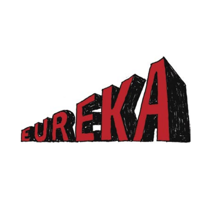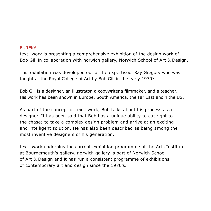### EUREKA

text+work is presenting a comprehensive exhibition of the design work of Bob Gill in collaboration with norwich gallery, Norwich School of Art & Design.

This exhibition was developed out of the expertiseof Ray Gregory who was taught at the Royal College of Art by Bob Gill in the early 1970's.

Bob Gill is a designer, an illustrator, a copywriter,a filmmaker, and a teacher. His work has been shown in Europe, South America, the Far East andin the US.

As part of the concept of text+work, Bob talks about his process as a designer. It has been said that Bob has a unique ability to cut right to the chase; to take a complex design problem and arrive at an exciting and intelligent solution. He has also been described as being among the most inventive designers of his generation.

text+work underpins the current exhibition programme at the Arts Institute at Bournemouth's gallery. norwich gallery is part of Norwich School of Art & Design and it has run a consistent programme of exhibitions of contemporary art and design since the 1970's.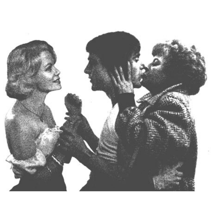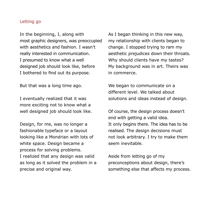### Letting go

In the beginning, I, along with most graphic designers, was preoccupied with aesthetics and fashion. I wasn't really interested in communication. I presumed to know what a well designed job should look like, before I bothered to find out its purpose.

But that was a long time ago.

I eventually realized that it was more exciting not to know what a well designed job should look like.

Design, for me, was no longer a fashionable typeface or a layout looking like a Mondrian with lots of white space. Design became a process for solving problems. I realized that any design was valid as long as it solved the problem in a precise and original way.

As I began thinking in this new way, my relationship with clients began to change. I stopped trying to ram my aesthetic prejudices down their throats. Why should clients have my tastes? My background was in art. Theirs was in commerce.

We began to communicate on a different level. We talked about solutions and ideas instead of design.

Of course, the design process doesn't end with getting a valid idea. It only begins there. The idea has to be realised. The design decisions must not look arbitrary. I try to make them seem inevitable.

Aside from letting go of my preconceptions about design, there's something else that affects my process.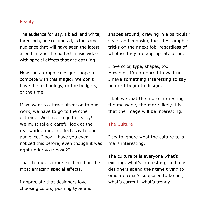### **Reality**

The audience for, say, a black and white, three inch, one column ad, is the same audience that will have seen the latest alien film and the hottest music video with special effects that are dazzling.

How can a graphic designer hope to compete with this magic? We don't have the technology, or the budgets, or the time.

If we want to attract attention to our work, we have to go to the other extreme. We have to go to reality! We must take a careful look at the real world, and, in effect, say to our audience, "look – have you ever noticed this before, even though it was right under your nose?"

That, to me, is more exciting than the most amazing special effects.

I appreciate that designers love choosing colors, pushing type and shapes around, drawing in a particular style, and imposing the latest graphic tricks on their next job, regardless of whether they are appropriate or not.

I love color, type, shapes, too. However, I'm prepared to wait until I have something interesting to say before I begin to design.

I believe that the more interesting the message, the more likely it is that the image will be interesting.

### The Culture

I try to ignore what the culture tells me is interesting.

The culture tells everyone what's exciting, what's interesting; and most designers spend their time trying to emulate what's supposed to be hot, what's current, what's trendy.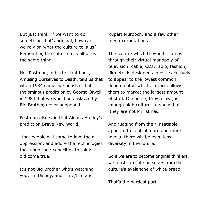But just think, if we want to do something that's original, how can we rely on what the culture tells us? Remember, the culture tells all of us the same thing.

Neil Postman, in his brilliant book, Amusing Ourselves to Death, tells us that when 1984 came, we boasted that the ominous prediction by George Orwell, in 1984 that we would be enslaved by Big Brother, never happened.

Postman also said that Aldous Huxley's prediction Brave New World,

"that people will come to love their oppression, and adore the technologies that undo their capacities to think," did come true.

It's not Big Brother who's watching you, it's Disney, and Time/Life and

Rupert Murdoch, and a few other mega-corporations.

The culture which they inflict on us through their virtual monopoly of television, cable, CDs, radio, fashion, film etc. is designed almost exclusively to appeal to the lowest common denominator, which, in turn, allows them to market the largest amount of stuff. Of course, they allow just enough high culture, to show that they are not Philistines.

And judging from their insatiable appetite to control more and more media, there will be even less diversity in the future.

So if we are to become original thinkers, we must extricate ourselves from the culture's avalanche of white bread.

That's the hardest part.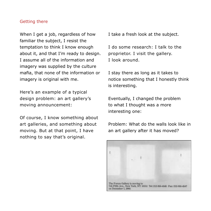### Getting there

When I get a job, regardless of how familiar the subject, I resist the temptation to think I know enough about it, and that I'm ready to design. I assume all of the information and imagery was supplied by the culture mafia, that none of the information or imagery is original with me.

Here's an example of a typical design problem: an art gallery's moving announcement:

Of course, I know something about art galleries, and something about moving. But at that point, I have nothing to say that's original.

I take a fresh look at the subject.

I do some research: I talk to the proprietor. I visit the gallery. I look around.

I stay there as long as it takes to notice something that I honestly think is interesting.

Eventually, I changed the problem to what I thought was a more interesting one:

Problem: What do the walls look like in an art gallery after it has moved?

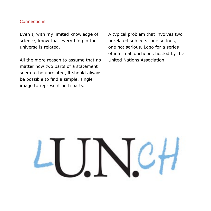### **Connections**

Even I, with my limited knowledge of science, know that everything in the universe is related.

All the more reason to assume that no matter how two parts of a statement seem to be unrelated, it should always be possible to find a simple, single image to represent both parts.

A typical problem that involves two unrelated subjects: one serious, one not serious. Logo for a series of informal luncheons hosted by the United Nations Association.

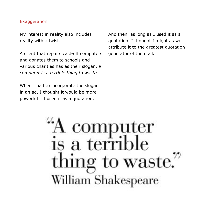### **Exaggeration**

My interest in reality also includes reality with a twist.

A client that repairs cast-off computers and donates them to schools and various charities has as their slogan, *a computer is a terrible thing to waste*.

When I had to incorporate the slogan in an ad, I thought it would be more powerful if I used it as a quotation.

And then, as long as I used it as a quotation, I thought I might as well attribute it to the greatest quotation generator of them all.

## "A computer<br>is a terrible thing to waste." William Shakespeare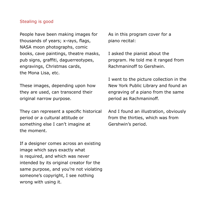### Stealing is good

People have been making images for thousands of years; x-rays, flags, NASA moon photographs, comic books, cave paintings, theatre masks, pub signs, graffiti, daguerreotypes, engravings, Christmas cards, the Mona Lisa, etc.

These images, depending upon how they are used, can transcend their original narrow purpose.

They can represent a specific historical period or a cultural attitude or something else I can't imagine at the moment.

If a designer comes across an existing image which says exactly what is required, and which was never intended by its original creator for the same purpose, and you're not violating someone's copyright, I see nothing wrong with using it.

As in this program cover for a piano recital:

I asked the pianist about the program. He told me it ranged from Rachmaninoff to Gershwin.

I went to the picture collection in the New York Public Library and found an engraving of a piano from the same period as Rachmaninoff.

And I found an illustration, obviously from the thirties, which was from Gershwin's period.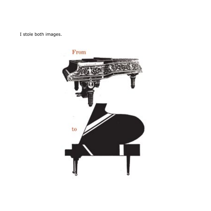I stole both images.

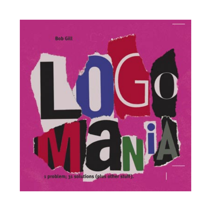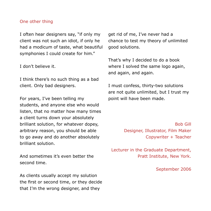### One other thing

I often hear designers say, "if only my client was not such an idiot, if only he had a modicum of taste, what beautiful symphonies I could create for him."

I don't believe it.

I think there's no such thing as a bad client. Only bad designers.

For years, I've been telling my students, and anyone else who would listen, that no matter how many times a client turns down your absolutely brilliant solution, for whatever dopey, arbitrary reason, you should be able to go away and do another absolutely brilliant solution.

And sometimes it's even better the second time.

As clients usually accept my solution the first or second time, or they decide that I'm the wrong designer, and they

get rid of me, I've never had a chance to test my theory of unlimited good solutions.

That's why I decided to do a book where I solved the same logo again, and again, and again.

I must confess, thirty-two solutions are not quite unlimited, but I trust my point will have been made.

> Bob Gill Designer, Illustrator, Film Maker Copywriter + Teacher

Lecturer in the Graduate Department, Pratt Institute, New York.

September 2006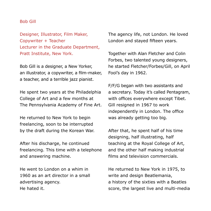### Bob Gill

Designer, Illustrator, Film Maker, Copywriter + Teacher Lecturer in the Graduate Department, Pratt Institute, New York.

Bob Gill is a designer, a New Yorker, an illustrator, a copywriter, a film-maker, a teacher, and a terrible jazz pianist.

He spent two years at the Philadelphia College of Art and a few months at The Pennsylvania Academy of Fine Art.

He returned to New York to begin freelancing, soon to be interrupted by the draft during the Korean War.

After his discharge, he continued freelancing. This time with a telephone and answering machine.

He went to London on a whim in 1960 as an art director in a small advertising agency. He hated it.

The agency life, not London. He loved London and stayed fifteen years.

Together with Alan Fletcher and Colin Forbes, two talented young designers, he started Fletcher/Forbes/Gill, on April Fool's day in 1962.

F/F/G began with two assistants and a secretary. Today it's called Pentagram, with offices everywhere except Tibet. Gill resigned in 1967 to work independently in London. The office was already getting too big.

After that, he spent half of his time designing, half illustrating, half teaching at the Royal College of Art, and the other half making industrial films and television commercials.

He returned to New York in 1975, to write and design Beatlemania, a history of the sixties with a Beatles score, the largest live and multi-media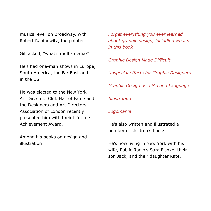musical ever on Broadway, with Robert Rabinowitz, the painter.

Gill asked, "what's multi-media?"

He's had one-man shows in Europe, South America, the Far East and in the US.

He was elected to the New York Art Directors Club Hall of Fame and the Designers and Art Directors Association of London recently presented him with their Lifetime Achievement Award.

Among his books on design and illustration:

*Forget everything you ever learned about graphic design, including what's in this book* 

*Graphic Design Made Difficult* 

*Unspecial effects for Graphic Designers*

*Graphic Design as a Second Language*

### *Illustration*

### *Logomania*

He's also written and illustrated a number of children's books.

He's now living in New York with his wife, Public Radio's Sara Fishko, their son Jack, and their daughter Kate.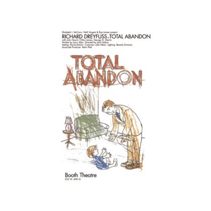**RICHARD DREYFUSS TOTAL ABANDON** 

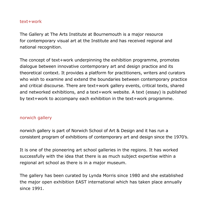### text+work

The Gallery at The Arts Institute at Bournemouth is a major resource for contemporary visual art at the Institute and has received regional and national recognition.

The concept of text+work underpinning the exhibition programme, promotes dialogue between innovative contemporary art and design practice and its theoretical context. It provides a platform for practitioners, writers and curators who wish to examine and extend the boundaries between contemporary practice and critical discourse. There are text+work gallery events, critical texts, shared and networked exhibitions, and a text+work website. A text (essay) is published by text+work to accompany each exhibition in the text+work programme.

### norwich gallery

norwich gallery is part of Norwich School of Art & Design and it has run a consistent program of exhibitions of contemporary art and design since the 1970's.

It is one of the pioneering art school galleries in the regions. It has worked successfully with the idea that there is as much subject expertise within a regional art school as there is in a major museum.

The gallery has been curated by Lynda Morris since 1980 and she established the major open exhibition EAST international which has taken place annually since 1991.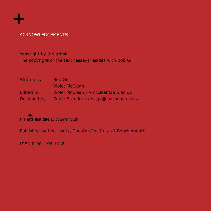

## ACKNOWLEDGEMENTS

copyright by the artist The copyright of the text (essay) resides with Bob Gill

| Written by  | <b>Bob Gill</b>                        |
|-------------|----------------------------------------|
|             | <b>Violet McClean</b>                  |
| Edited by   | Violet McClean / vmcclean@aib.ac.uk    |
| Designed by | Sonja Stender / design@jazznoons.co.uk |

the **arts institute** at bournemouth

Published by text+work, The Arts Institute at Bournemouth

ISBN 0-901196-14-2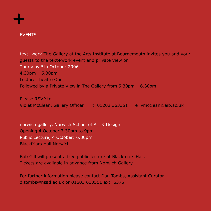

### EVENTS

text+work The Gallery at the Arts Institute at Bournemouth invites you and your guests to the text+work event and private view on Thursday 5th October 2006 4.30pm – 5.30pm Lecture Theatre One Followed by a Private View in The Gallery from 5.30pm – 6.30pm

Please RSVP to Violet McClean, Gallery Officer t 01202 363351 e vmcclean@aib.ac.uk

norwich gallery, Norwich School of Art & Design Opening 4 October 7.30pm to 9pm Public Lecture, 4 October: 6.30pm Blackfriars Hall Norwich

Bob Gill will present a free public lecture at Blackfriars Hall. Tickets are available in advance from Norwich Gallery.

For further information please contact Dan Tombs, Assistant Curator d.tombs@nsad.ac.uk or 01603 610561 ext: 6375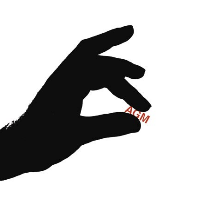